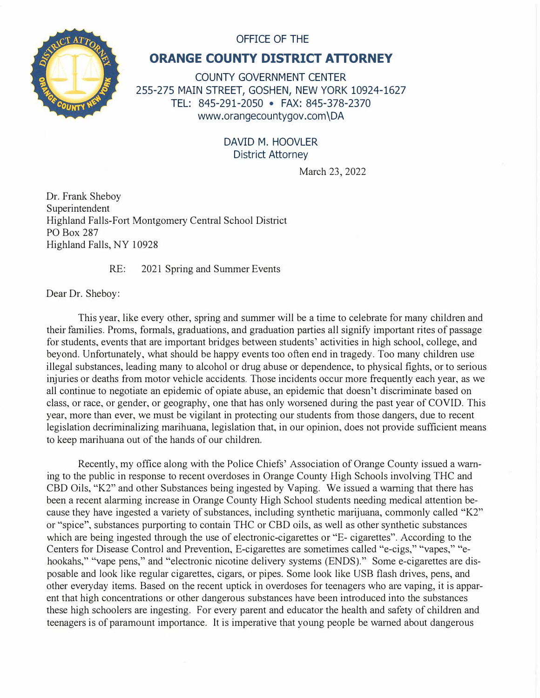

## OFFICE OF THE

## **ORANGE COUNTY DISTRICT ATTORNEY**

COUNTY GOVERNMENT CENTER 255-275 MAIN STREET, GOSHEN, NEW YORK 10924-1627 TEL: 845-291-2050 • FAX: 845-378-2370 www.orangecountygov.com \DA

## DAVID M. HOOVLER District Attorney

March 23, 2022

Dr. Frank Sheboy Superintendent Highland Falls-Fort Montgomery Central School District PO Box 287 Highland Falls, NY 10928

RE: 2021 Spring and Summer Events

Dear Dr. Sheboy:

This year, like every other, spring and summer will be a time to celebrate for many children and their families. Proms, formals, graduations, and graduation patties all signify important rites of passage for students, events that are important bridges between students' activities in high school, college, and beyond. Unfortunately, what should be happy events too often end in tragedy. Too many children use illegal substances, leading many to alcohol or drug abuse or dependence, to physical fights, or to serious injuries or deaths from motor vehicle accidents. Those incidents occur more frequently each year, as we all continue to negotiate an epidemic of opiate abuse, an epidemic that doesn't discriminate based on class, or race, or gender, or geography, one that has only worsened during the past year of COVID. This year, more than ever, we must be vigilant in protecting our students from those dangers, due to recent legislation decriminalizing marihuana, legislation that, in our opinion, does not provide sufficient means to keep marihuana out of the hands of our children.

Recently, my office along with the Police Chiefs' Association of Orange County issued a warning to the public in response to recent overdoses in Orange County High Schools involving THC and CBD Oils, "K2" and other Substances being ingested by Vaping. We issued a warning that there has been a recent alarming increase in Orange County High School students needing medical attention because they have ingested a variety of substances, including synthetic marijuana, commonly called "K2" or "spice", substances purporting to contain THC or CBD oils, as well as other synthetic substances which are being ingested through the use of electronic-cigarettes or "E- cigarettes". According to the Centers for Disease Control and Prevention, E-cigarettes are sometimes called "e-cigs," "vapes," "ehookahs," "vape pens," and "electronic nicotine delivery systems (ENDS)." Some e-cigarettes are disposable and look like regular cigarettes, cigars, or pipes. Some look like USB flash drives, pens, and other everyday items. Based on the recent uptick in overdoses for teenagers who are vaping, it is apparent that high concentrations or other dangerous substances have been introduced into the substances these high schoolers are ingesting. For every parent and educator the health and safety of children and teenagers is of paramount importance. It is imperative that young people be warned about dangerous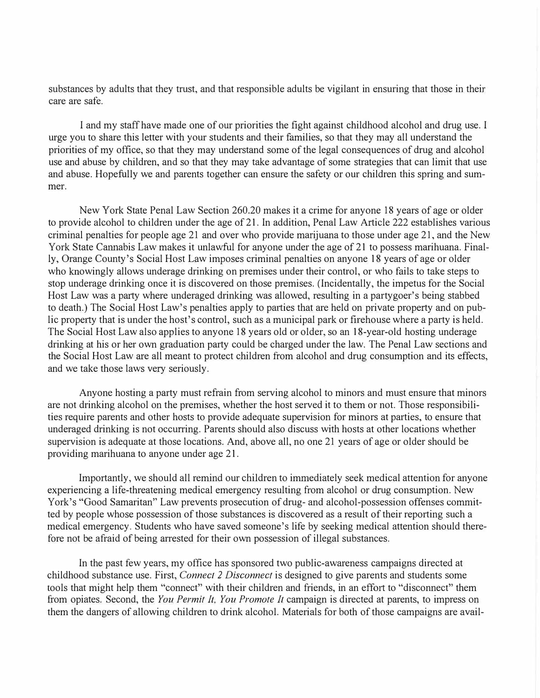substances by adults that they trust, and that responsible adults be vigilant in ensuring that those in their care are safe.

I and my staff have made one of our priorities the fight against childhood alcohol and drug use. I urge you to share this letter with your students and their families, so that they may all understand the priorities of my office, so that they may understand some of the legal consequences of drug and alcohol use and abuse by children, and so that they may take advantage of some strategies that can limit that use and abuse. Hopefully we and parents together can ensure the safety or our children this spring and summer.

New York State Penal Law Section 260.20 makes it a crime for anyone 18 years of age or older to provide alcohol to children under the age of 21. In addition, Penal Law Article 222 establishes various criminal penalties for people age 21 and over who provide marijuana to those under age 21, and the New York State Cannabis Law makes it unlawful for anyone under the age of 21 to possess marihuana. Finally, Orange County's Social Host Law imposes criminal penalties on anyone 18 years of age or older who knowingly allows underage drinking on premises under their control, or who fails to take steps to stop underage drinking once it is discovered on those premises. (Incidentally, the impetus for the Social Host Law was a party where underaged drinking was allowed, resulting in a partygoer's being stabbed to death.) The Social Host Law's penalties apply to patties that are held on private property and on public property that is under the host's control, such as a municipal park or firehouse where a party is held. The Social Host Law also applies to anyone 18 years old or older, so an 18-year-old hosting underage The Social Host Law also applies to anyone 18 years old or older, so an 18-year-old hosting underage<br>drinking at his or her own graduation party could be charged under the law. The Penal Law sections and the Social Host Law are all meant to protect children from alcohol and drug consumption and its effects, and we take those laws very seriously.

Anyone hosting a party must refrain from serving alcohol to minors and must ensure that minors are not drinking alcohol on the premises, whether the host served it to them or not. Those responsibilities require parents and other hosts to provide adequate supervision for minors at parties, to ensure that underaged drinking is not occurring. Parents should also discuss with hosts at other locations whether supervision is adequate at those locations. And, above all, no one 21 years of age or older should be providing marihuana to anyone under age 21.

Importantly, we should all remind our children to immediately seek medical attention for anyone experiencing a life-threatening medical emergency resulting from alcohol or drug consumption. New York's "Good Samaritan" Law prevents prosecution of drug- and alcohol-possession offenses committed by people whose possession of those substances is discovered as a result of their reporting such a medical emergency. Students who have saved someone's life by seeking medical attention should therefore not be afraid of being arrested for their own possession of illegal substances.

In the past few years, my office has sponsored two public-awareness campaigns directed at childhood substance use. First, *Connect 2 Disconnect* is designed to give parents and students some tools that might help them "connect" with their children and friends, in an effort to "disconnect" them from opiates. Second, the *You Permit It, You Promote It* campaign is directed at parents, to impress on them the dangers of allowing children to drink alcohol. Materials for both of those campaigns are avail